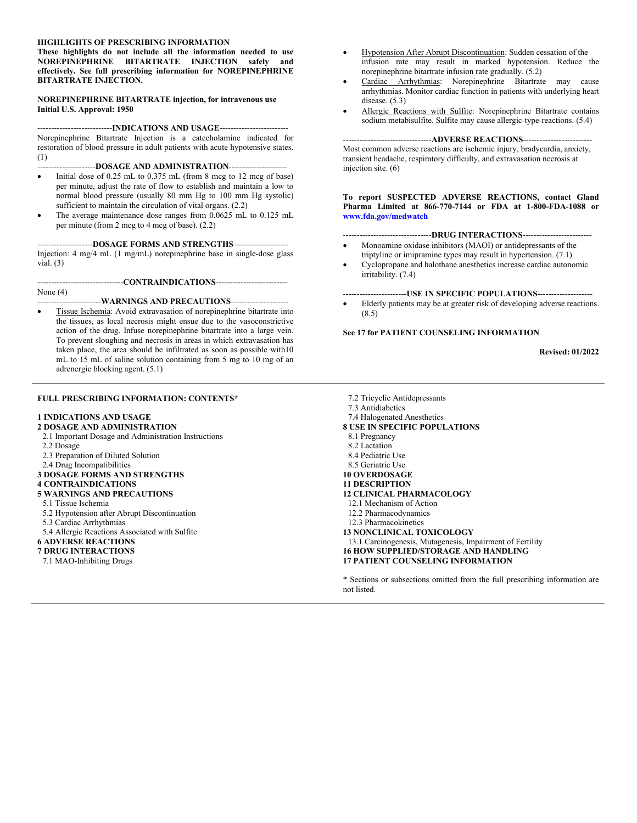#### **HIGHLIGHTS OF PRESCRIBING INFORMATION**

**These highlights do not include all the information needed to use NOREPINEPHRINE BITARTRATE INJECTION safely and effectively. See full prescribing information for NOREPINEPHRINE BITARTRATE INJECTION.**

#### **NOREPINEPHRINE BITARTRATE injection, for intravenous use Initial U.S. Approval: 1950**

---------------------------**INDICATIONS AND USAGE**-------------------------

Norepinephrine Bitartrate Injection is a catecholamine indicated for restoration of blood pressure in adult patients with acute hypotensive states. (1)

#### ---------------------**DOSAGE AND ADMINISTRATION**---------------------

- $\bullet$  Initial dose of 0.25 mL to 0.375 mL (from 8 mcg to 12 mcg of base) per minute, adjust the rate of flow to establish and maintain a low to normal blood pressure (usually 80 mm Hg to 100 mm Hg systolic) sufficient to maintain the circulation of vital organs. (2.2)
- The average maintenance dose ranges from 0.0625 mL to 0.125 mL per minute (from 2 mcg to 4 mcg of base). (2.2)

--------------------**DOSAGE FORMS AND STRENGTHS**--------------------

Injection: 4 mg/4 mL (1 mg/mL) norepinephrine base in single-dose glass vial.  $(3)$ 

-------------------------------**CONTRAINDICATIONS**--------------------------

#### None (4)

#### -----------------------**WARNINGS AND PRECAUTIONS**---------------------

 Tissue Ischemia: Avoid extravasation of norepinephrine bitartrate into the tissues, as local necrosis might ensue due to the vasoconstrictive action of the drug. Infuse norepinephrine bitartrate into a large vein. To prevent sloughing and necrosis in areas in which extravasation has taken place, the area should be infiltrated as soon as possible with10 mL to 15 mL of saline solution containing from 5 mg to 10 mg of an adrenergic blocking agent. (5.1)

#### **FULL PRESCRIBING INFORMATION: CONTENTS\***

#### **1 INDICATIONS AND USAGE**

#### **2 DOSAGE AND ADMINISTRATION**

- 2.1 Important Dosage and Administration Instructions 2.2 Dosage
- 2.3 Preparation of Diluted Solution
- 2.4 Drug Incompatibilities

#### **3 DOSAGE FORMS AND STRENGTHS**

#### **4 CONTRAINDICATIONS**

- **5 WARNINGS AND PRECAUTIONS**
- 5.1 Tissue Ischemia
- 5.2 Hypotension after Abrupt Discontinuation
- 5.3 Cardiac Arrhythmias
- 5.4 Allergic Reactions Associated with Sulfite

#### **6 ADVERSE REACTIONS**

#### **7 DRUG INTERACTIONS**

7.1 MAO-Inhibiting Drugs

- Hypotension After Abrupt Discontinuation: Sudden cessation of the infusion rate may result in marked hypotension. Reduce the norepinephrine bitartrate infusion rate gradually. (5.2)
- Cardiac Arrhythmias: Norepinephrine Bitartrate may cause arrhythmias. Monitor cardiac function in patients with underlying heart disease.  $(5.3)$
- Allergic Reactions with Sulfite: Norepinephrine Bitartrate contains sodium metabisulfite. Sulfite may cause allergic-type-reactions. (5.4)

#### --------------------------------**ADVERSE REACTIONS**-------------------------

Most common adverse reactions are ischemic injury, bradycardia, anxiety, transient headache, respiratory difficulty, and extravasation necrosis at injection site. (6)

**To report SUSPECTED ADVERSE REACTIONS, contact Gland Pharma Limited at 866-770-7144 or FDA at 1-800-FDA-1088 or [www.fda.gov/medwatch](http://www.fda.gov/medwatch)**

#### --------------------------------**DRUG INTERACTIONS**-------------------------

- Monoamine oxidase inhibitors (MAOI) or antidepressants of the triptyline or imipramine types may result in hypertension. (7.1)
- Cyclopropane and halothane anesthetics increase cardiac autonomic irritability. (7.4)

#### -----------------------**USE IN SPECIFIC POPULATIONS**--------------------

 Elderly patients may be at greater risk of developing adverse reactions. (8.5)

#### **See 17 for PATIENT COUNSELING INFORMATION**

**Revised: 01/2022**

7.2 Tricyclic Antidepressants 7.3 Antidiabetics 7.4 Halogenated Anesthetics **8 USE IN SPECIFIC POPULATIONS** 8.1 Pregnancy 8.2 Lactation 8.4 Pediatric Use 8.5 Geriatric Use **10 OVERDOSAGE 11 DESCRIPTION 12 CLINICAL PHARMACOLOGY** 12.1 Mechanism of Action 12.2 Pharmacodynamics 12.3 Pharmacokinetics **13 NONCLINICAL TOXICOLOGY** 13.1 Carcinogenesis, Mutagenesis, Impairment of Fertility **16 HOW SUPPLIED/STORAGE AND HANDLING 17 PATIENT COUNSELING INFORMATION**

\* Sections or subsections omitted from the full prescribing information are not listed.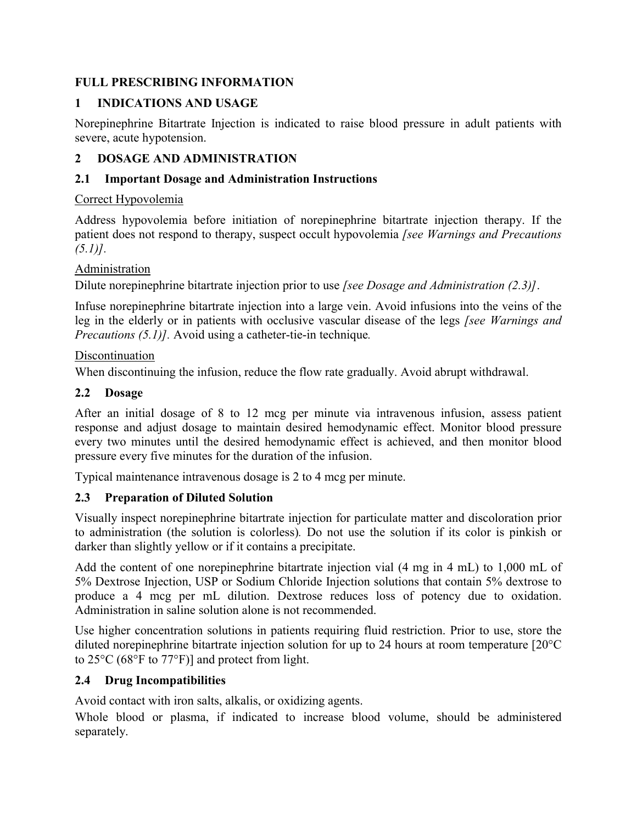# **FULL PRESCRIBING INFORMATION**

# **1 INDICATIONS AND USAGE**

Norepinephrine Bitartrate Injection is indicated to raise blood pressure in adult patients with severe, acute hypotension.

# **2 DOSAGE AND ADMINISTRATION**

# **2.1 Important Dosage and Administration Instructions**

# Correct Hypovolemia

Address hypovolemia before initiation of norepinephrine bitartrate injection therapy. If the patient does not respond to therapy, suspect occult hypovolemia *[see Warnings and Precautions (5.1)].*

# Administration

Dilute norepinephrine bitartrate injection prior to use *[see Dosage and Administration (2.3)]*.

Infuse norepinephrine bitartrate injection into a large vein. Avoid infusions into the veins of the leg in the elderly or in patients with occlusive vascular disease of the legs *[see Warnings and Precautions (5.1)].* Avoid using a catheter-tie-in technique*.*

# Discontinuation

When discontinuing the infusion, reduce the flow rate gradually. Avoid abrupt withdrawal.

# **2.2 Dosage**

After an initial dosage of 8 to 12 mcg per minute via intravenous infusion, assess patient response and adjust dosage to maintain desired hemodynamic effect. Monitor blood pressure every two minutes until the desired hemodynamic effect is achieved, and then monitor blood pressure every five minutes for the duration of the infusion.

Typical maintenance intravenous dosage is 2 to 4 mcg per minute.

# **2.3 Preparation of Diluted Solution**

Visually inspect norepinephrine bitartrate injection for particulate matter and discoloration prior to administration (the solution is colorless)*.* Do not use the solution if its color is pinkish or darker than slightly yellow or if it contains a precipitate.

Add the content of one norepinephrine bitartrate injection vial (4 mg in 4 mL) to 1,000 mL of 5% Dextrose Injection, USP or Sodium Chloride Injection solutions that contain 5% dextrose to produce a 4 mcg per mL dilution. Dextrose reduces loss of potency due to oxidation. Administration in saline solution alone is not recommended.

Use higher concentration solutions in patients requiring fluid restriction. Prior to use, store the diluted norepinephrine bitartrate injection solution for up to 24 hours at room temperature [20°C to 25°C (68°F to 77°F)] and protect from light.

# **2.4 Drug Incompatibilities**

Avoid contact with iron salts, alkalis, or oxidizing agents.

Whole blood or plasma, if indicated to increase blood volume, should be administered separately.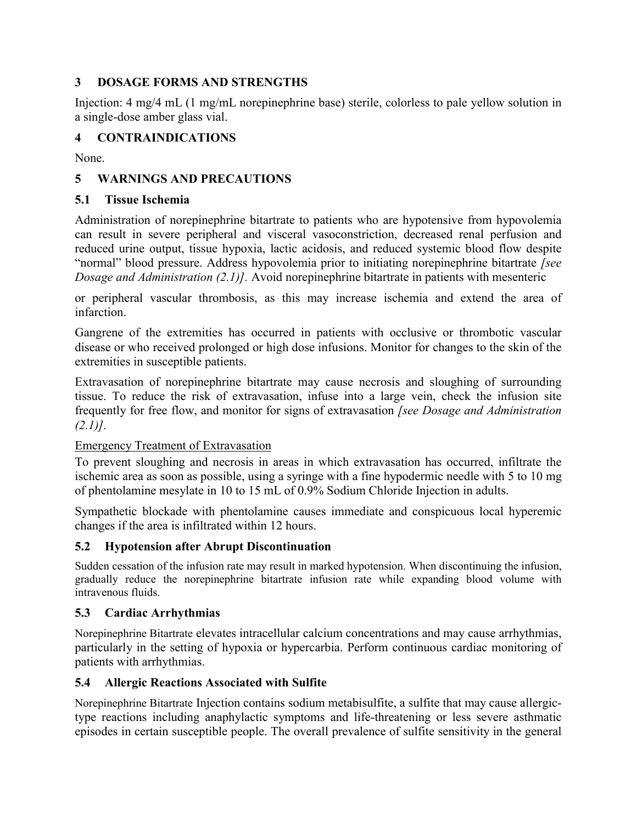# **3 DOSAGE FORMS AND STRENGTHS**

Injection: 4 mg/4 mL (1 mg/mL norepinephrine base) sterile, colorless to pale yellow solution in a single-dose amber glass vial.

# **4 CONTRAINDICATIONS**

None.

# **5 WARNINGS AND PRECAUTIONS**

# **5.1 Tissue Ischemia**

Administration of norepinephrine bitartrate to patients who are hypotensive from hypovolemia can result in severe peripheral and visceral vasoconstriction, decreased renal perfusion and reduced urine output, tissue hypoxia, lactic acidosis, and reduced systemic blood flow despite "normal" blood pressure. Address hypovolemia prior to initiating norepinephrine bitartrate *[see Dosage and Administration (2.1)].* Avoid norepinephrine bitartrate in patients with mesenteric

or peripheral vascular thrombosis, as this may increase ischemia and extend the area of infarction.

Gangrene of the extremities has occurred in patients with occlusive or thrombotic vascular disease or who received prolonged or high dose infusions. Monitor for changes to the skin of the extremities in susceptible patients.

Extravasation of norepinephrine bitartrate may cause necrosis and sloughing of surrounding tissue. To reduce the risk of extravasation, infuse into a large vein, check the infusion site frequently for free flow, and monitor for signs of extravasation *[see Dosage and Administration (2.1)].*

# Emergency Treatment of Extravasation

To prevent sloughing and necrosis in areas in which extravasation has occurred, infiltrate the ischemic area as soon as possible, using a syringe with a fine hypodermic needle with 5 to 10 mg of phentolamine mesylate in 10 to 15 mL of 0.9% Sodium Chloride Injection in adults.

Sympathetic blockade with phentolamine causes immediate and conspicuous local hyperemic changes if the area is infiltrated within 12 hours.

# **5.2 Hypotension after Abrupt Discontinuation**

Sudden cessation of the infusion rate may result in marked hypotension. When discontinuing the infusion, gradually reduce the norepinephrine bitartrate infusion rate while expanding blood volume with intravenous fluids.

# **5.3 Cardiac Arrhythmias**

Norepinephrine Bitartrate elevates intracellular calcium concentrations and may cause arrhythmias, particularly in the setting of hypoxia or hypercarbia. Perform continuous cardiac monitoring of patients with arrhythmias.

# **5.4 Allergic Reactions Associated with Sulfite**

Norepinephrine Bitartrate Injection contains sodium metabisulfite, a sulfite that may cause allergictype reactions including anaphylactic symptoms and life-threatening or less severe asthmatic episodes in certain susceptible people. The overall prevalence of sulfite sensitivity in the general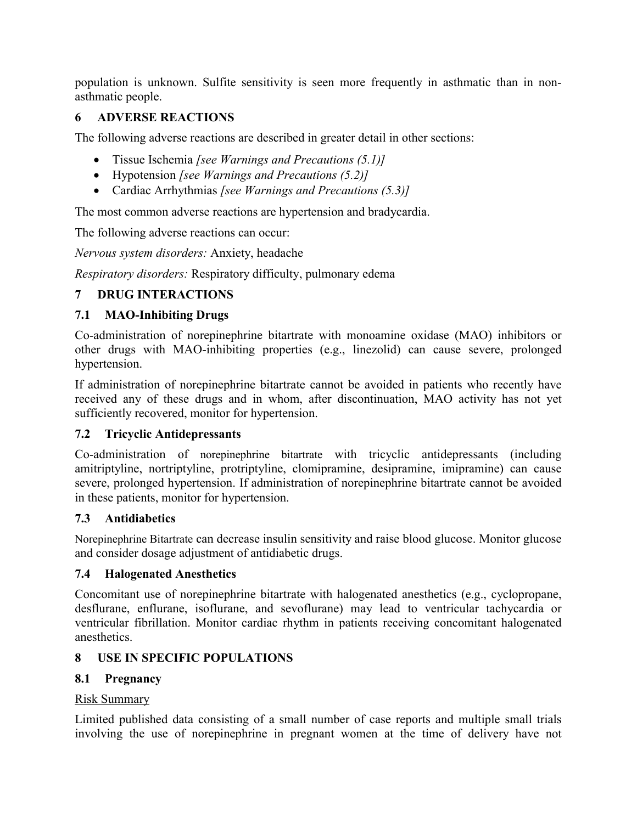population is unknown. Sulfite sensitivity is seen more frequently in asthmatic than in nonasthmatic people.

# **6 ADVERSE REACTIONS**

The following adverse reactions are described in greater detail in other sections:

- Tissue Ischemia *[see Warnings and Precautions (5.1)]*
- Hypotension *[see Warnings and Precautions (5.2)]*
- Cardiac Arrhythmias *[see Warnings and Precautions (5.3)]*

The most common adverse reactions are hypertension and bradycardia.

The following adverse reactions can occur:

*Nervous system disorders:* Anxiety, headache

*Respiratory disorders:* Respiratory difficulty, pulmonary edema

# **7 DRUG INTERACTIONS**

# **7.1 MAO-Inhibiting Drugs**

Co-administration of norepinephrine bitartrate with monoamine oxidase (MAO) inhibitors or other drugs with MAO-inhibiting properties (e.g., linezolid) can cause severe, prolonged hypertension.

If administration of norepinephrine bitartrate cannot be avoided in patients who recently have received any of these drugs and in whom, after discontinuation, MAO activity has not yet sufficiently recovered, monitor for hypertension.

# **7.2 Tricyclic Antidepressants**

Co-administration of norepinephrine bitartrate with tricyclic antidepressants (including amitriptyline, nortriptyline, protriptyline, clomipramine, desipramine, imipramine) can cause severe, prolonged hypertension. If administration of norepinephrine bitartrate cannot be avoided in these patients, monitor for hypertension.

# **7.3 Antidiabetics**

Norepinephrine Bitartrate can decrease insulin sensitivity and raise blood glucose. Monitor glucose and consider dosage adjustment of antidiabetic drugs.

# **7.4 Halogenated Anesthetics**

Concomitant use of norepinephrine bitartrate with halogenated anesthetics (e.g., cyclopropane, desflurane, enflurane, isoflurane, and sevoflurane) may lead to ventricular tachycardia or ventricular fibrillation. Monitor cardiac rhythm in patients receiving concomitant halogenated anesthetics.

# **8 USE IN SPECIFIC POPULATIONS**

# **8.1 Pregnancy**

# Risk Summary

Limited published data consisting of a small number of case reports and multiple small trials involving the use of norepinephrine in pregnant women at the time of delivery have not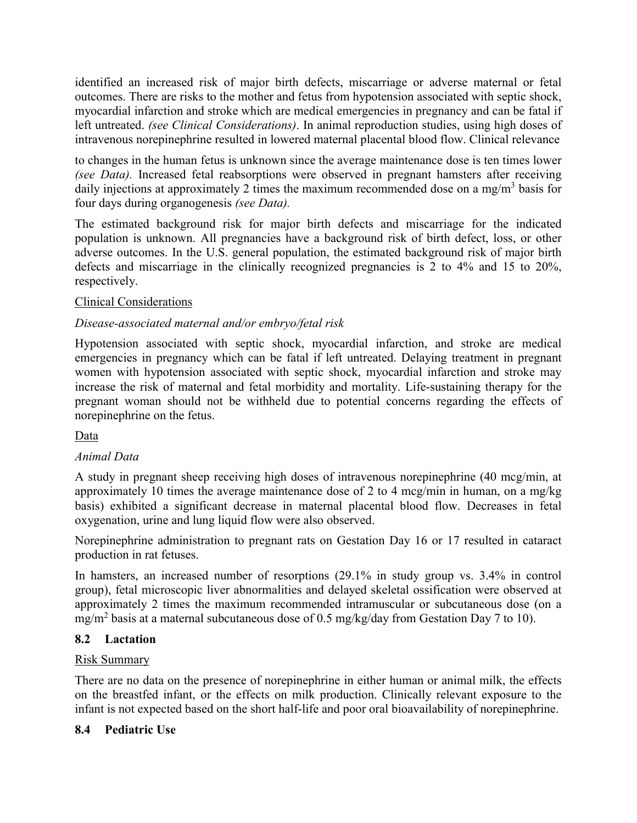identified an increased risk of major birth defects, miscarriage or adverse maternal or fetal outcomes. There are risks to the mother and fetus from hypotension associated with septic shock, myocardial infarction and stroke which are medical emergencies in pregnancy and can be fatal if left untreated. *(see Clinical Considerations)*. In animal reproduction studies, using high doses of intravenous norepinephrine resulted in lowered maternal placental blood flow. Clinical relevance

to changes in the human fetus is unknown since the average maintenance dose is ten times lower *(see Data).* Increased fetal reabsorptions were observed in pregnant hamsters after receiving daily injections at approximately 2 times the maximum recommended dose on a mg/m<sup>3</sup> basis for four days during organogenesis *(see Data).*

The estimated background risk for major birth defects and miscarriage for the indicated population is unknown. All pregnancies have a background risk of birth defect, loss, or other adverse outcomes. In the U.S. general population, the estimated background risk of major birth defects and miscarriage in the clinically recognized pregnancies is 2 to 4% and 15 to 20%, respectively.

# Clinical Considerations

# *Disease-associated maternal and/or embryo/fetal risk*

Hypotension associated with septic shock, myocardial infarction, and stroke are medical emergencies in pregnancy which can be fatal if left untreated. Delaying treatment in pregnant women with hypotension associated with septic shock, myocardial infarction and stroke may increase the risk of maternal and fetal morbidity and mortality. Life-sustaining therapy for the pregnant woman should not be withheld due to potential concerns regarding the effects of norepinephrine on the fetus.

Data

# *Animal Data*

A study in pregnant sheep receiving high doses of intravenous norepinephrine (40 mcg/min, at approximately 10 times the average maintenance dose of 2 to 4 mcg/min in human, on a mg/kg basis) exhibited a significant decrease in maternal placental blood flow. Decreases in fetal oxygenation, urine and lung liquid flow were also observed.

Norepinephrine administration to pregnant rats on Gestation Day 16 or 17 resulted in cataract production in rat fetuses.

In hamsters, an increased number of resorptions (29.1% in study group vs. 3.4% in control group), fetal microscopic liver abnormalities and delayed skeletal ossification were observed at approximately 2 times the maximum recommended intramuscular or subcutaneous dose (on a mg/m<sup>2</sup> basis at a maternal subcutaneous dose of 0.5 mg/kg/day from Gestation Day 7 to 10).

# **8.2 Lactation**

# Risk Summary

There are no data on the presence of norepinephrine in either human or animal milk, the effects on the breastfed infant, or the effects on milk production. Clinically relevant exposure to the infant is not expected based on the short half-life and poor oral bioavailability of norepinephrine.

# **8.4 Pediatric Use**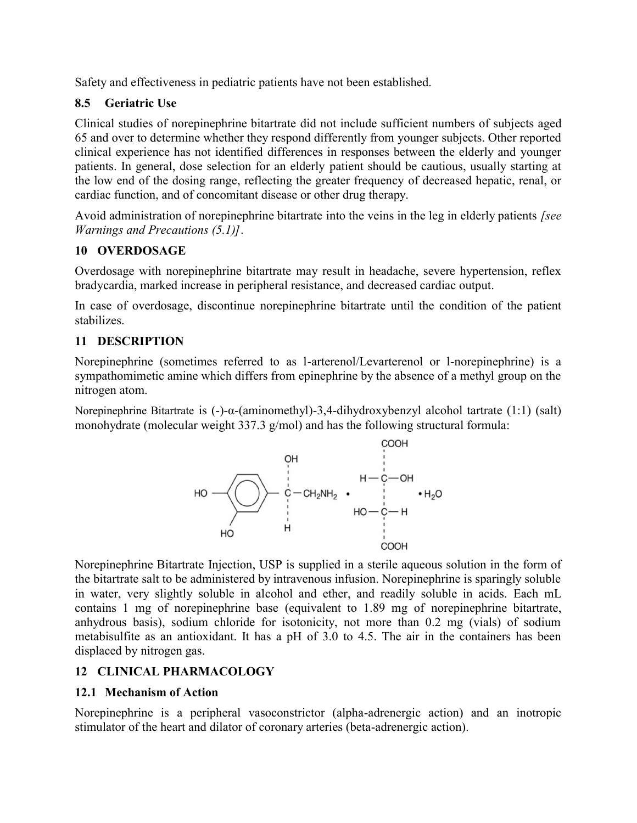Safety and effectiveness in pediatric patients have not been established.

# **8.5 Geriatric Use**

Clinical studies of norepinephrine bitartrate did not include sufficient numbers of subjects aged 65 and over to determine whether they respond differently from younger subjects. Other reported clinical experience has not identified differences in responses between the elderly and younger patients. In general, dose selection for an elderly patient should be cautious, usually starting at the low end of the dosing range, reflecting the greater frequency of decreased hepatic, renal, or cardiac function, and of concomitant disease or other drug therapy.

Avoid administration of norepinephrine bitartrate into the veins in the leg in elderly patients *[see Warnings and Precautions (5.1)]*.

# **10 OVERDOSAGE**

Overdosage with norepinephrine bitartrate may result in headache, severe hypertension, reflex bradycardia, marked increase in peripheral resistance, and decreased cardiac output.

In case of overdosage, discontinue norepinephrine bitartrate until the condition of the patient stabilizes.

# **11 DESCRIPTION**

Norepinephrine (sometimes referred to as l-arterenol/Levarterenol or l-norepinephrine) is a sympathomimetic amine which differs from epinephrine by the absence of a methyl group on the nitrogen atom.

Norepinephrine Bitartrate is (-)-α-(aminomethyl)-3,4-dihydroxybenzyl alcohol tartrate (1:1) (salt) monohydrate (molecular weight 337.3 g/mol) and has the following structural formula:



Norepinephrine Bitartrate Injection, USP is supplied in a sterile aqueous solution in the form of the bitartrate salt to be administered by intravenous infusion. Norepinephrine is sparingly soluble in water, very slightly soluble in alcohol and ether, and readily soluble in acids. Each mL contains 1 mg of norepinephrine base (equivalent to 1.89 mg of norepinephrine bitartrate, anhydrous basis), sodium chloride for isotonicity, not more than 0.2 mg (vials) of sodium metabisulfite as an antioxidant. It has a pH of 3.0 to 4.5. The air in the containers has been displaced by nitrogen gas.

# **12 CLINICAL PHARMACOLOGY**

# **12.1 Mechanism of Action**

Norepinephrine is a peripheral vasoconstrictor (alpha-adrenergic action) and an inotropic stimulator of the heart and dilator of coronary arteries (beta-adrenergic action).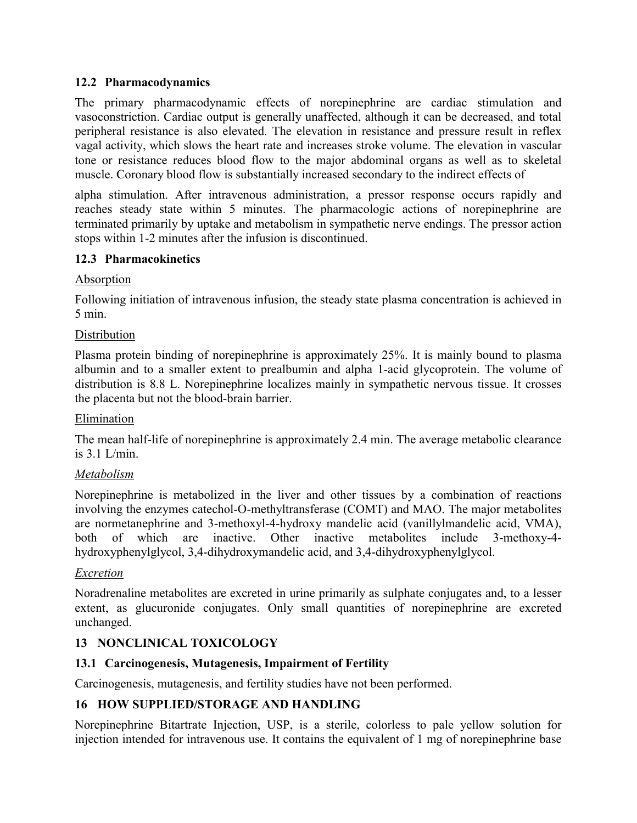### **12.2 Pharmacodynamics**

The primary pharmacodynamic effects of norepinephrine are cardiac stimulation and vasoconstriction. Cardiac output is generally unaffected, although it can be decreased, and total peripheral resistance is also elevated. The elevation in resistance and pressure result in reflex vagal activity, which slows the heart rate and increases stroke volume. The elevation in vascular tone or resistance reduces blood flow to the major abdominal organs as well as to skeletal muscle. Coronary blood flow is substantially increased secondary to the indirect effects of

alpha stimulation. After intravenous administration, a pressor response occurs rapidly and reaches steady state within 5 minutes. The pharmacologic actions of norepinephrine are terminated primarily by uptake and metabolism in sympathetic nerve endings. The pressor action stops within 1-2 minutes after the infusion is discontinued.

### **12.3 Pharmacokinetics**

### Absorption

Following initiation of intravenous infusion, the steady state plasma concentration is achieved in 5 min.

### **Distribution**

Plasma protein binding of norepinephrine is approximately 25%. It is mainly bound to plasma albumin and to a smaller extent to prealbumin and alpha 1-acid glycoprotein. The volume of distribution is 8.8 L. Norepinephrine localizes mainly in sympathetic nervous tissue. It crosses the placenta but not the blood-brain barrier.

### Elimination

The mean half-life of norepinephrine is approximately 2.4 min. The average metabolic clearance is 3.1 L/min.

### *Metabolism*

Norepinephrine is metabolized in the liver and other tissues by a combination of reactions involving the enzymes catechol-O-methyltransferase (COMT) and MAO. The major metabolites are normetanephrine and 3-methoxyl-4-hydroxy mandelic acid (vanillylmandelic acid, VMA), both of which are inactive. Other inactive metabolites include 3-methoxy-4 hydroxyphenylglycol, 3,4-dihydroxymandelic acid, and 3,4-dihydroxyphenylglycol.

### *Excretion*

Noradrenaline metabolites are excreted in urine primarily as sulphate conjugates and, to a lesser extent, as glucuronide conjugates. Only small quantities of norepinephrine are excreted unchanged.

# **13 NONCLINICAL TOXICOLOGY**

### **13.1 Carcinogenesis, Mutagenesis, Impairment of Fertility**

Carcinogenesis, mutagenesis, and fertility studies have not been performed.

# **16 HOW SUPPLIED/STORAGE AND HANDLING**

Norepinephrine Bitartrate Injection, USP, is a sterile, colorless to pale yellow solution for injection intended for intravenous use. It contains the equivalent of 1 mg of norepinephrine base